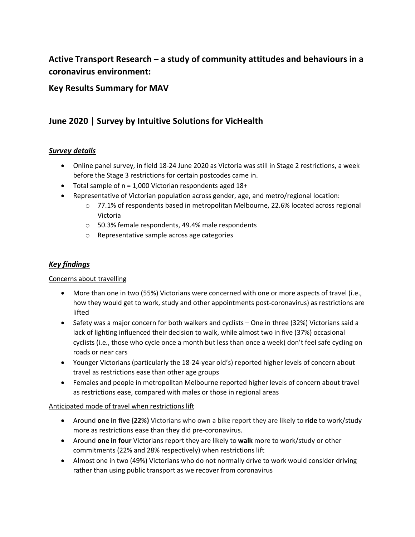# **Active Transport Research – a study of community attitudes and behaviours in a coronavirus environment:**

### **Key Results Summary for MAV**

## **June 2020 | Survey by Intuitive Solutions for VicHealth**

### *Survey details*

- Online panel survey, in field 18-24 June 2020 as Victoria was still in Stage 2 restrictions, a week before the Stage 3 restrictions for certain postcodes came in.
- Total sample of n = 1,000 Victorian respondents aged 18+
- Representative of Victorian population across gender, age, and metro/regional location:
	- $\circ$  77.1% of respondents based in metropolitan Melbourne, 22.6% located across regional Victoria
	- o 50.3% female respondents, 49.4% male respondents
	- o Representative sample across age categories

### *Key findings*

### Concerns about travelling

- More than one in two (55%) Victorians were concerned with one or more aspects of travel (i.e., how they would get to work, study and other appointments post-coronavirus) as restrictions are lifted
- Safety was a major concern for both walkers and cyclists One in three (32%) Victorians said a lack of lighting influenced their decision to walk, while almost two in five (37%) occasional cyclists (i.e., those who cycle once a month but less than once a week) don't feel safe cycling on roads or near cars
- Younger Victorians (particularly the 18-24-year old's) reported higher levels of concern about travel as restrictions ease than other age groups
- Females and people in metropolitan Melbourne reported higher levels of concern about travel as restrictions ease, compared with males or those in regional areas

### Anticipated mode of travel when restrictions lift

- Around **one in five (22%)** Victorians who own a bike report they are likely to **ride** to work/study more as restrictions ease than they did pre-coronavirus.
- Around **one in four** Victorians report they are likely to **walk** more to work/study or other commitments (22% and 28% respectively) when restrictions lift
- Almost one in two (49%) Victorians who do not normally drive to work would consider driving rather than using public transport as we recover from coronavirus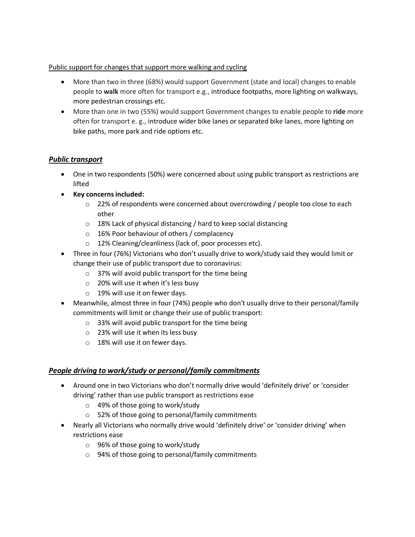### Public support for changes that support more walking and cycling

- More than two in three (68%) would support Government (state and local) changes to enable people to **walk** more often for transport e.g., introduce footpaths, more lighting on walkways, more pedestrian crossings etc.
- More than one in two (55%) would support Government changes to enable people to **ride** more often for transport e. g., introduce wider bike lanes or separated bike lanes, more lighting on bike paths, more park and ride options etc.

### *Public transport*

- One in two respondents (50%) were concerned about using public transport as restrictions are lifted
- **Key concerns included:**
	- $\circ$  22% of respondents were concerned about overcrowding / people too close to each other
	- o 18% Lack of physical distancing / hard to keep social distancing
	- o 16% Poor behaviour of others / complacency
	- o 12% Cleaning/cleanliness (lack of, poor processes etc).
- Three in four (76%) Victorians who don't usually drive to work/study said they would limit or change their use of public transport due to coronavirus:
	- o 37% will avoid public transport for the time being
	- o 20% will use it when it's less busy
	- o 19% will use it on fewer days.
- Meanwhile, almost three in four (74%) people who don't usually drive to their personal/family commitments will limit or change their use of public transport:
	- o 33% will avoid public transport for the time being
	- o 23% will use it when its less busy
	- o 18% will use it on fewer days.

### *People driving to work/study or personal/family commitments*

- Around one in two Victorians who don't normally drive would 'definitely drive' or 'consider driving' rather than use public transport as restrictions ease
	- o 49% of those going to work/study
	- o 52% of those going to personal/family commitments
- Nearly all Victorians who normally drive would 'definitely drive' or 'consider driving' when restrictions ease
	- o 96% of those going to work/study
	- o 94% of those going to personal/family commitments